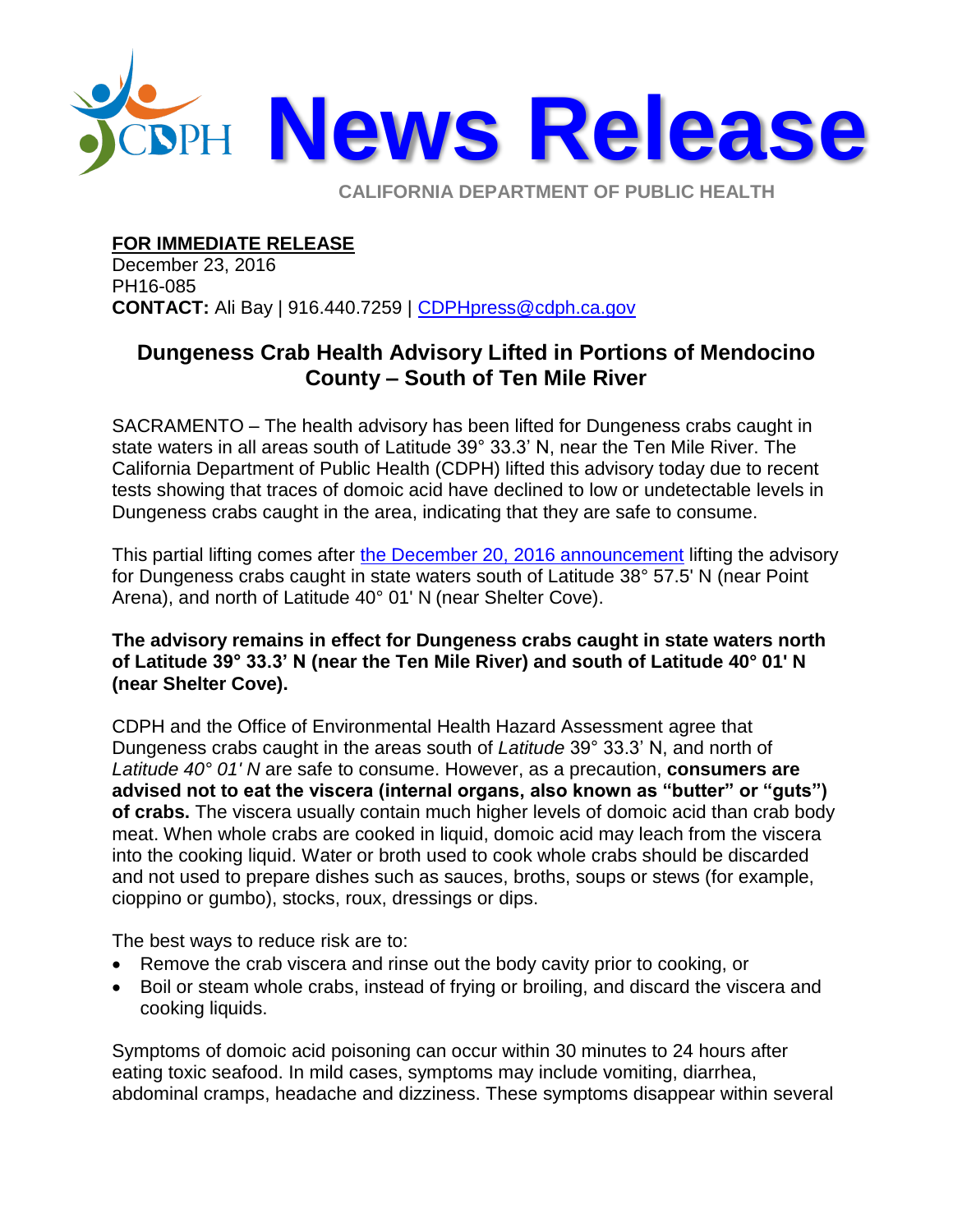

**CALIFORNIA DEPARTMENT OF PUBLIC HEALTH** 

**FOR IMMEDIATE RELEASE**

December 23, 2016 PH16-085 **CONTACT:** Ali Bay | 916.440.7259 | [CDPHpress@cdph.ca.gov](mailto:CDPHpress@cdph.ca.gov)

## **Dungeness Crab Health Advisory Lifted in Portions of Mendocino County – South of Ten Mile River**

SACRAMENTO – The health advisory has been lifted for Dungeness crabs caught in state waters in all areas south of Latitude 39° 33.3' N, near the Ten Mile River. The California Department of Public Health (CDPH) lifted this advisory today due to recent tests showing that traces of domoic acid have declined to low or undetectable levels in Dungeness crabs caught in the area, indicating that they are safe to consume.

This partial lifting comes after [the December 20, 2016 announcement](http://www.cdph.ca.gov/Pages/NR16-083.aspx) lifting the advisory for Dungeness crabs caught in state waters south of Latitude 38° 57.5' N (near Point Arena), and north of Latitude 40° 01' N (near Shelter Cove).

## **The advisory remains in effect for Dungeness crabs caught in state waters north of Latitude 39° 33.3' N (near the Ten Mile River) and south of Latitude 40° 01' N (near Shelter Cove).**

CDPH and the Office of Environmental Health Hazard Assessment agree that Dungeness crabs caught in the areas south of *Latitude* 39° 33.3' N, and north of *Latitude 40° 01' N* are safe to consume. However, as a precaution, **consumers are advised not to eat the viscera (internal organs, also known as "butter" or "guts") of crabs.** The viscera usually contain much higher levels of domoic acid than crab body meat. When whole crabs are cooked in liquid, domoic acid may leach from the viscera into the cooking liquid. Water or broth used to cook whole crabs should be discarded and not used to prepare dishes such as sauces, broths, soups or stews (for example, cioppino or gumbo), stocks, roux, dressings or dips.

The best ways to reduce risk are to:

- Remove the crab viscera and rinse out the body cavity prior to cooking, or
- Boil or steam whole crabs, instead of frying or broiling, and discard the viscera and cooking liquids.

Symptoms of domoic acid poisoning can occur within 30 minutes to 24 hours after eating toxic seafood. In mild cases, symptoms may include vomiting, diarrhea, abdominal cramps, headache and dizziness. These symptoms disappear within several